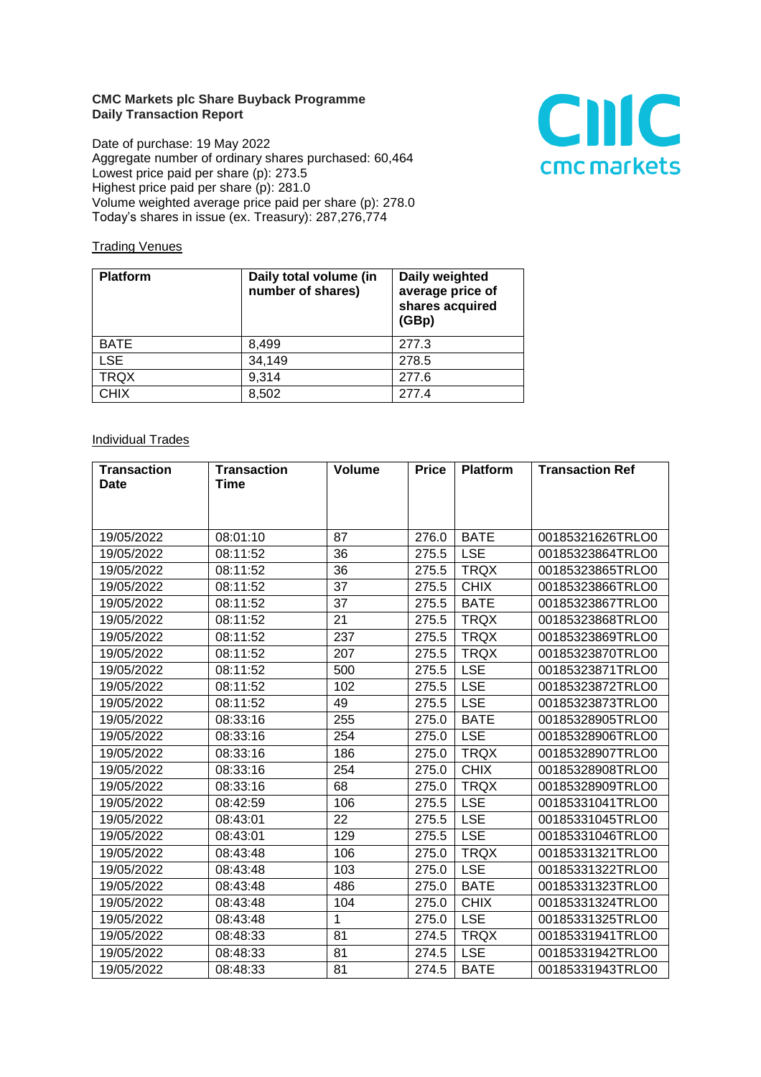## **CMC Markets plc Share Buyback Programme Daily Transaction Report**

Date of purchase: 19 May 2022 Aggregate number of ordinary shares purchased: 60,464 Lowest price paid per share (p): 273.5 Highest price paid per share (p): 281.0 Volume weighted average price paid per share (p): 278.0 Today's shares in issue (ex. Treasury): 287,276,774



## **Trading Venues**

| <b>Platform</b> | Daily total volume (in<br>number of shares) | Daily weighted<br>average price of<br>shares acquired<br>(GBp) |
|-----------------|---------------------------------------------|----------------------------------------------------------------|
| <b>BATE</b>     | 8.499                                       | 277.3                                                          |
| <b>LSE</b>      | 34,149                                      | 278.5                                                          |
| <b>TRQX</b>     | 9,314                                       | 277.6                                                          |
| <b>CHIX</b>     | 8,502                                       | 277.4                                                          |

## **Individual Trades**

| <b>Transaction</b> | <b>Transaction</b> | <b>Volume</b> | <b>Price</b> | <b>Platform</b> | <b>Transaction Ref</b> |
|--------------------|--------------------|---------------|--------------|-----------------|------------------------|
| <b>Date</b>        | <b>Time</b>        |               |              |                 |                        |
|                    |                    |               |              |                 |                        |
|                    |                    |               |              |                 |                        |
| 19/05/2022         | 08:01:10           | 87            | 276.0        | <b>BATE</b>     | 00185321626TRLO0       |
| 19/05/2022         | 08:11:52           | 36            | 275.5        | <b>LSE</b>      | 00185323864TRLO0       |
| 19/05/2022         | 08:11:52           | 36            | 275.5        | <b>TRQX</b>     | 00185323865TRLO0       |
| 19/05/2022         | 08:11:52           | 37            | 275.5        | <b>CHIX</b>     | 00185323866TRLO0       |
| 19/05/2022         | 08:11:52           | 37            | 275.5        | <b>BATE</b>     | 00185323867TRLO0       |
| 19/05/2022         | 08:11:52           | 21            | 275.5        | <b>TRQX</b>     | 00185323868TRLO0       |
| 19/05/2022         | 08:11:52           | 237           | 275.5        | <b>TRQX</b>     | 00185323869TRLO0       |
| 19/05/2022         | 08:11:52           | 207           | 275.5        | <b>TRQX</b>     | 00185323870TRLO0       |
| 19/05/2022         | 08:11:52           | 500           | 275.5        | <b>LSE</b>      | 00185323871TRLO0       |
| 19/05/2022         | 08:11:52           | 102           | 275.5        | <b>LSE</b>      | 00185323872TRLO0       |
| 19/05/2022         | 08:11:52           | 49            | 275.5        | <b>LSE</b>      | 00185323873TRLO0       |
| 19/05/2022         | 08:33:16           | 255           | 275.0        | <b>BATE</b>     | 00185328905TRLO0       |
| 19/05/2022         | 08:33:16           | 254           | 275.0        | <b>LSE</b>      | 00185328906TRLO0       |
| 19/05/2022         | 08:33:16           | 186           | 275.0        | <b>TRQX</b>     | 00185328907TRLO0       |
| 19/05/2022         | 08:33:16           | 254           | 275.0        | <b>CHIX</b>     | 00185328908TRLO0       |
| 19/05/2022         | 08:33:16           | 68            | 275.0        | <b>TRQX</b>     | 00185328909TRLO0       |
| 19/05/2022         | 08:42:59           | 106           | 275.5        | <b>LSE</b>      | 00185331041TRLO0       |
| 19/05/2022         | 08:43:01           | 22            | 275.5        | <b>LSE</b>      | 00185331045TRLO0       |
| 19/05/2022         | 08:43:01           | 129           | 275.5        | <b>LSE</b>      | 00185331046TRLO0       |
| 19/05/2022         | 08:43:48           | 106           | 275.0        | <b>TRQX</b>     | 00185331321TRLO0       |
| 19/05/2022         | 08:43:48           | 103           | 275.0        | <b>LSE</b>      | 00185331322TRLO0       |
| 19/05/2022         | 08:43:48           | 486           | 275.0        | <b>BATE</b>     | 00185331323TRLO0       |
| 19/05/2022         | 08:43:48           | 104           | 275.0        | <b>CHIX</b>     | 00185331324TRLO0       |
| 19/05/2022         | 08:43:48           | $\mathbf{1}$  | 275.0        | <b>LSE</b>      | 00185331325TRLO0       |
| 19/05/2022         | 08:48:33           | 81            | 274.5        | <b>TRQX</b>     | 00185331941TRLO0       |
| 19/05/2022         | 08:48:33           | 81            | 274.5        | <b>LSE</b>      | 00185331942TRLO0       |
| 19/05/2022         | 08:48:33           | 81            | 274.5        | <b>BATE</b>     | 00185331943TRLO0       |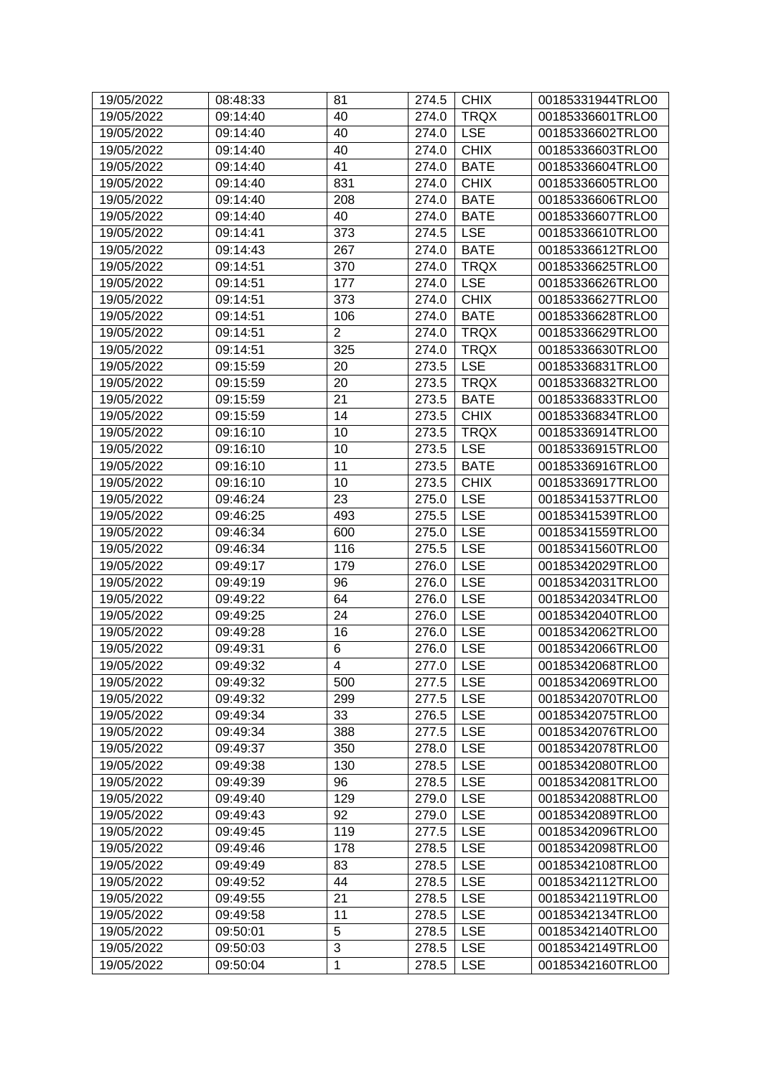| 19/05/2022 |                      | 81             | 274.5     | <b>CHIX</b> | 00185331944TRLO0 |
|------------|----------------------|----------------|-----------|-------------|------------------|
| 19/05/2022 | 08:48:33<br>09:14:40 | 40             | 274.0     | <b>TRQX</b> | 00185336601TRLO0 |
| 19/05/2022 | 09:14:40             | 40             | 274.0     | <b>LSE</b>  | 00185336602TRLO0 |
| 19/05/2022 | 09:14:40             | 40             | 274.0     | <b>CHIX</b> | 00185336603TRLO0 |
|            |                      | 41             |           | <b>BATE</b> |                  |
| 19/05/2022 | 09:14:40             |                | 274.0     |             | 00185336604TRLO0 |
| 19/05/2022 | 09:14:40             | 831            | 274.0     | <b>CHIX</b> | 00185336605TRLO0 |
| 19/05/2022 | 09:14:40             | 208            | 274.0     | <b>BATE</b> | 00185336606TRLO0 |
| 19/05/2022 | 09:14:40             | 40             | 274.0     | <b>BATE</b> | 00185336607TRLO0 |
| 19/05/2022 | 09:14:41             | 373            | 274.5     | <b>LSE</b>  | 00185336610TRLO0 |
| 19/05/2022 | 09:14:43             | 267            | 274.0     | <b>BATE</b> | 00185336612TRLO0 |
| 19/05/2022 | 09:14:51             | 370            | 274.0     | <b>TRQX</b> | 00185336625TRLO0 |
| 19/05/2022 | 09:14:51             | 177            | 274.0     | <b>LSE</b>  | 00185336626TRLO0 |
| 19/05/2022 | 09:14:51             | 373            | 274.0     | <b>CHIX</b> | 00185336627TRLO0 |
| 19/05/2022 | 09:14:51             | 106            | 274.0     | <b>BATE</b> | 00185336628TRLO0 |
| 19/05/2022 | 09:14:51             | $\overline{2}$ | 274.0     | <b>TRQX</b> | 00185336629TRLO0 |
| 19/05/2022 | 09:14:51             | 325            | 274.0     | <b>TRQX</b> | 00185336630TRLO0 |
| 19/05/2022 | 09:15:59             | 20             | 273.5     | <b>LSE</b>  | 00185336831TRLO0 |
| 19/05/2022 | 09:15:59             | 20             | 273.5     | <b>TRQX</b> | 00185336832TRLO0 |
| 19/05/2022 | 09:15:59             | 21             | 273.5     | <b>BATE</b> | 00185336833TRLO0 |
| 19/05/2022 | 09:15:59             | 14             | 273.5     | <b>CHIX</b> | 00185336834TRLO0 |
| 19/05/2022 | 09:16:10             | 10             | 273.5     | <b>TRQX</b> | 00185336914TRLO0 |
| 19/05/2022 | 09:16:10             | 10             | 273.5     | <b>LSE</b>  | 00185336915TRLO0 |
| 19/05/2022 | 09:16:10             | 11             | 273.5     | <b>BATE</b> | 00185336916TRLO0 |
| 19/05/2022 | 09:16:10             | 10             | 273.5     | <b>CHIX</b> | 00185336917TRLO0 |
| 19/05/2022 | 09:46:24             | 23             | 275.0     | <b>LSE</b>  | 00185341537TRLO0 |
| 19/05/2022 | 09:46:25             | 493            | 275.5     | <b>LSE</b>  | 00185341539TRLO0 |
| 19/05/2022 | 09:46:34             | 600            | 275.0     | <b>LSE</b>  | 00185341559TRLO0 |
| 19/05/2022 | 09:46:34             | 116            | 275.5     | <b>LSE</b>  | 00185341560TRLO0 |
| 19/05/2022 | 09:49:17             | 179            | 276.0     | <b>LSE</b>  | 00185342029TRLO0 |
| 19/05/2022 | 09:49:19             | 96             | 276.0     | <b>LSE</b>  | 00185342031TRLO0 |
| 19/05/2022 | 09:49:22             | 64             | 276.0     | <b>LSE</b>  | 00185342034TRLO0 |
| 19/05/2022 | 09:49:25             | 24             | 276.0     | <b>LSE</b>  | 00185342040TRLO0 |
| 19/05/2022 | 09:49:28             | 16             | 276.0     | <b>LSE</b>  | 00185342062TRLO0 |
| 19/05/2022 | 09:49:31             | 6              | 276.0     | <b>LSE</b>  | 00185342066TRLO0 |
| 19/05/2022 | 09:49:32             | 4              | 277.0 LSE |             | 00185342068TRLO0 |
| 19/05/2022 | 09:49:32             | 500            | 277.5     | <b>LSE</b>  | 00185342069TRLO0 |
| 19/05/2022 | 09:49:32             | 299            | 277.5     | <b>LSE</b>  | 00185342070TRLO0 |
| 19/05/2022 | 09:49:34             | 33             | 276.5     | <b>LSE</b>  | 00185342075TRLO0 |
| 19/05/2022 | 09:49:34             | 388            | 277.5     | <b>LSE</b>  | 00185342076TRLO0 |
| 19/05/2022 | 09:49:37             | 350            | 278.0     | <b>LSE</b>  | 00185342078TRLO0 |
| 19/05/2022 | 09:49:38             | 130            | 278.5     | <b>LSE</b>  | 00185342080TRLO0 |
| 19/05/2022 | 09:49:39             | 96             | 278.5     | <b>LSE</b>  | 00185342081TRLO0 |
| 19/05/2022 | 09:49:40             | 129            | 279.0     | <b>LSE</b>  | 00185342088TRLO0 |
| 19/05/2022 | 09:49:43             | 92             | 279.0     | <b>LSE</b>  | 00185342089TRLO0 |
| 19/05/2022 | 09:49:45             | 119            | 277.5     | <b>LSE</b>  | 00185342096TRLO0 |
| 19/05/2022 |                      | 178            |           | <b>LSE</b>  |                  |
|            | 09:49:46             |                | 278.5     |             | 00185342098TRLO0 |
| 19/05/2022 | 09:49:49             | 83             | 278.5     | <b>LSE</b>  | 00185342108TRLO0 |
| 19/05/2022 | 09:49:52             | 44             | 278.5     | <b>LSE</b>  | 00185342112TRLO0 |
| 19/05/2022 | 09:49:55             | 21             | 278.5     | <b>LSE</b>  | 00185342119TRLO0 |
| 19/05/2022 | 09:49:58             | 11             | 278.5     | <b>LSE</b>  | 00185342134TRLO0 |
| 19/05/2022 | 09:50:01             | 5              | 278.5     | <b>LSE</b>  | 00185342140TRLO0 |
| 19/05/2022 | 09:50:03             | 3              | 278.5     | <b>LSE</b>  | 00185342149TRLO0 |
| 19/05/2022 | 09:50:04             | $\mathbf 1$    | 278.5     | <b>LSE</b>  | 00185342160TRLO0 |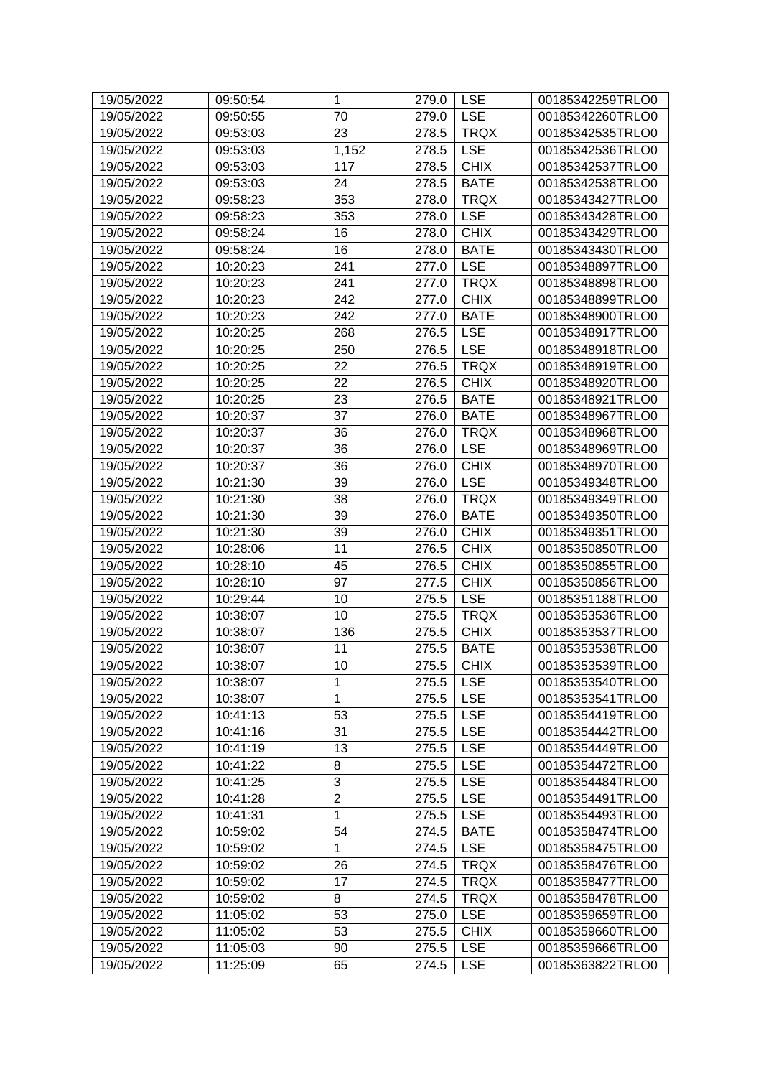| 19/05/2022 | 09:50:54 | $\mathbf{1}$   | 279.0 | <b>LSE</b>  | 00185342259TRLO0 |
|------------|----------|----------------|-------|-------------|------------------|
| 19/05/2022 | 09:50:55 | 70             | 279.0 | <b>LSE</b>  | 00185342260TRLO0 |
| 19/05/2022 | 09:53:03 | 23             | 278.5 | <b>TRQX</b> | 00185342535TRLO0 |
| 19/05/2022 | 09:53:03 | 1,152          | 278.5 | <b>LSE</b>  | 00185342536TRLO0 |
| 19/05/2022 | 09:53:03 | 117            | 278.5 | <b>CHIX</b> | 00185342537TRLO0 |
| 19/05/2022 | 09:53:03 | 24             | 278.5 | <b>BATE</b> | 00185342538TRLO0 |
| 19/05/2022 | 09:58:23 | 353            | 278.0 | <b>TRQX</b> | 00185343427TRLO0 |
| 19/05/2022 | 09:58:23 | 353            | 278.0 | <b>LSE</b>  | 00185343428TRLO0 |
| 19/05/2022 | 09:58:24 | 16             | 278.0 | <b>CHIX</b> | 00185343429TRLO0 |
| 19/05/2022 | 09:58:24 | 16             | 278.0 | <b>BATE</b> | 00185343430TRLO0 |
| 19/05/2022 | 10:20:23 | 241            | 277.0 | <b>LSE</b>  | 00185348897TRLO0 |
| 19/05/2022 | 10:20:23 | 241            | 277.0 | <b>TRQX</b> | 00185348898TRLO0 |
| 19/05/2022 | 10:20:23 | 242            | 277.0 | <b>CHIX</b> | 00185348899TRLO0 |
| 19/05/2022 | 10:20:23 | 242            | 277.0 | <b>BATE</b> | 00185348900TRLO0 |
| 19/05/2022 | 10:20:25 | 268            | 276.5 | <b>LSE</b>  | 00185348917TRLO0 |
| 19/05/2022 | 10:20:25 | 250            | 276.5 | <b>LSE</b>  | 00185348918TRLO0 |
| 19/05/2022 | 10:20:25 | 22             | 276.5 | <b>TRQX</b> | 00185348919TRLO0 |
| 19/05/2022 | 10:20:25 | 22             | 276.5 | <b>CHIX</b> | 00185348920TRLO0 |
| 19/05/2022 | 10:20:25 | 23             | 276.5 | <b>BATE</b> | 00185348921TRLO0 |
| 19/05/2022 | 10:20:37 | 37             | 276.0 | <b>BATE</b> | 00185348967TRLO0 |
| 19/05/2022 | 10:20:37 | 36             | 276.0 | <b>TRQX</b> | 00185348968TRLO0 |
| 19/05/2022 | 10:20:37 | 36             | 276.0 | <b>LSE</b>  | 00185348969TRLO0 |
| 19/05/2022 | 10:20:37 | 36             | 276.0 | <b>CHIX</b> | 00185348970TRLO0 |
| 19/05/2022 | 10:21:30 | 39             | 276.0 | <b>LSE</b>  | 00185349348TRLO0 |
| 19/05/2022 | 10:21:30 | 38             | 276.0 | <b>TRQX</b> | 00185349349TRLO0 |
| 19/05/2022 | 10:21:30 | 39             | 276.0 | <b>BATE</b> | 00185349350TRLO0 |
| 19/05/2022 | 10:21:30 | 39             | 276.0 | <b>CHIX</b> | 00185349351TRLO0 |
| 19/05/2022 | 10:28:06 | 11             | 276.5 | <b>CHIX</b> | 00185350850TRLO0 |
| 19/05/2022 | 10:28:10 | 45             | 276.5 | <b>CHIX</b> | 00185350855TRLO0 |
| 19/05/2022 | 10:28:10 | 97             | 277.5 | <b>CHIX</b> | 00185350856TRLO0 |
| 19/05/2022 | 10:29:44 | 10             | 275.5 | <b>LSE</b>  | 00185351188TRLO0 |
| 19/05/2022 | 10:38:07 | 10             | 275.5 | <b>TRQX</b> | 00185353536TRLO0 |
| 19/05/2022 | 10:38:07 | 136            | 275.5 | <b>CHIX</b> | 00185353537TRLO0 |
| 19/05/2022 | 10:38:07 | 11             | 275.5 | <b>BATE</b> | 00185353538TRLO0 |
| 19/05/2022 | 10:38:07 | 10             | 275.5 | <b>CHIX</b> | 00185353539TRLO0 |
| 19/05/2022 | 10:38:07 | $\mathbf 1$    | 275.5 | <b>LSE</b>  | 00185353540TRLO0 |
| 19/05/2022 | 10:38:07 | $\mathbf{1}$   | 275.5 | <b>LSE</b>  | 00185353541TRLO0 |
| 19/05/2022 | 10:41:13 | 53             | 275.5 | <b>LSE</b>  | 00185354419TRLO0 |
| 19/05/2022 | 10:41:16 | 31             | 275.5 | <b>LSE</b>  | 00185354442TRLO0 |
| 19/05/2022 | 10:41:19 | 13             | 275.5 | <b>LSE</b>  | 00185354449TRLO0 |
| 19/05/2022 | 10:41:22 | 8              | 275.5 | <b>LSE</b>  | 00185354472TRLO0 |
| 19/05/2022 | 10:41:25 | 3              | 275.5 | <b>LSE</b>  | 00185354484TRLO0 |
| 19/05/2022 | 10:41:28 | $\overline{2}$ | 275.5 | <b>LSE</b>  | 00185354491TRLO0 |
| 19/05/2022 | 10:41:31 | $\mathbf{1}$   | 275.5 | <b>LSE</b>  | 00185354493TRLO0 |
| 19/05/2022 | 10:59:02 | 54             | 274.5 | <b>BATE</b> | 00185358474TRLO0 |
| 19/05/2022 | 10:59:02 | $\mathbf{1}$   | 274.5 | <b>LSE</b>  | 00185358475TRLO0 |
| 19/05/2022 | 10:59:02 | 26             | 274.5 | <b>TRQX</b> | 00185358476TRLO0 |
| 19/05/2022 | 10:59:02 | 17             | 274.5 | <b>TRQX</b> | 00185358477TRLO0 |
| 19/05/2022 | 10:59:02 | 8              | 274.5 | <b>TRQX</b> | 00185358478TRLO0 |
| 19/05/2022 | 11:05:02 | 53             | 275.0 | <b>LSE</b>  | 00185359659TRLO0 |
| 19/05/2022 | 11:05:02 | 53             | 275.5 | <b>CHIX</b> | 00185359660TRLO0 |
| 19/05/2022 | 11:05:03 | 90             | 275.5 | <b>LSE</b>  | 00185359666TRLO0 |
| 19/05/2022 | 11:25:09 | 65             | 274.5 | <b>LSE</b>  | 00185363822TRLO0 |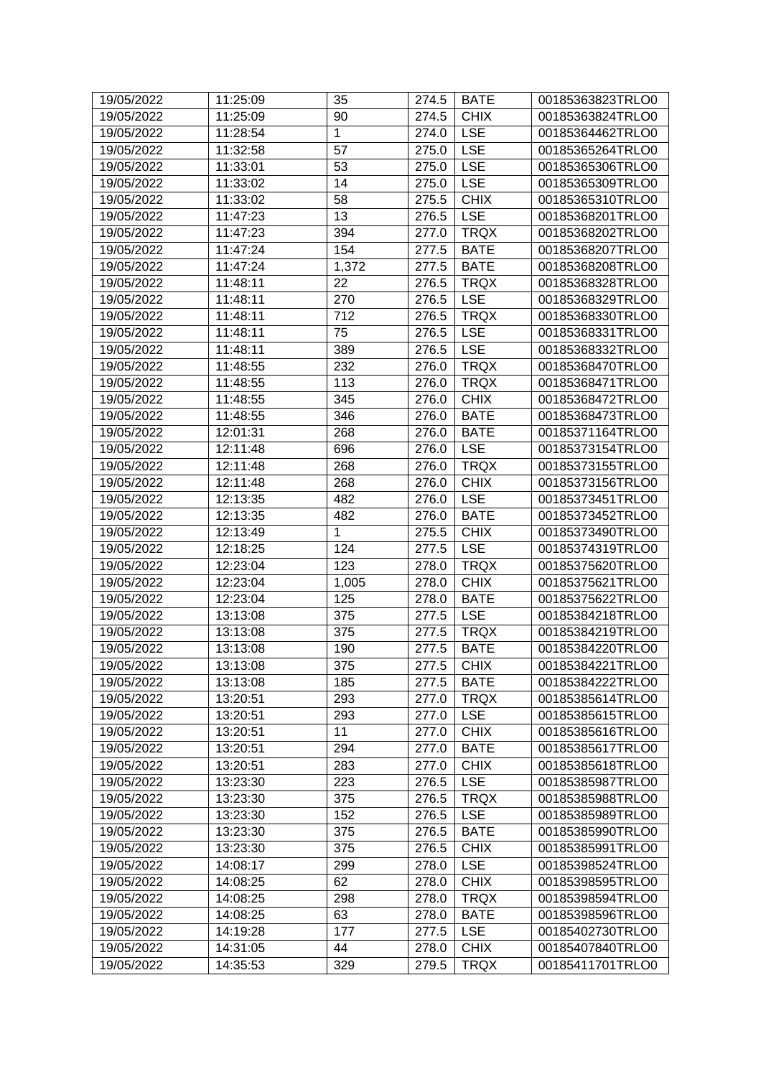| 19/05/2022 | 11:25:09 | 35           | 274.5 | <b>BATE</b> | 00185363823TRLO0 |
|------------|----------|--------------|-------|-------------|------------------|
| 19/05/2022 | 11:25:09 | 90           | 274.5 | <b>CHIX</b> | 00185363824TRLO0 |
| 19/05/2022 | 11:28:54 | $\mathbf{1}$ | 274.0 | <b>LSE</b>  | 00185364462TRLO0 |
| 19/05/2022 | 11:32:58 | 57           | 275.0 | <b>LSE</b>  | 00185365264TRLO0 |
| 19/05/2022 | 11:33:01 | 53           | 275.0 | <b>LSE</b>  | 00185365306TRLO0 |
| 19/05/2022 | 11:33:02 | 14           | 275.0 | <b>LSE</b>  | 00185365309TRLO0 |
| 19/05/2022 | 11:33:02 | 58           | 275.5 | <b>CHIX</b> | 00185365310TRLO0 |
| 19/05/2022 | 11:47:23 | 13           | 276.5 | <b>LSE</b>  | 00185368201TRLO0 |
| 19/05/2022 | 11:47:23 | 394          | 277.0 | <b>TRQX</b> | 00185368202TRLO0 |
| 19/05/2022 | 11:47:24 | 154          | 277.5 | <b>BATE</b> | 00185368207TRLO0 |
| 19/05/2022 | 11:47:24 | 1,372        | 277.5 | <b>BATE</b> | 00185368208TRLO0 |
| 19/05/2022 | 11:48:11 | 22           | 276.5 | <b>TRQX</b> | 00185368328TRLO0 |
| 19/05/2022 | 11:48:11 | 270          | 276.5 | <b>LSE</b>  | 00185368329TRLO0 |
| 19/05/2022 | 11:48:11 | 712          | 276.5 | <b>TRQX</b> | 00185368330TRLO0 |
| 19/05/2022 | 11:48:11 | 75           | 276.5 | <b>LSE</b>  | 00185368331TRLO0 |
| 19/05/2022 | 11:48:11 | 389          | 276.5 | <b>LSE</b>  | 00185368332TRLO0 |
| 19/05/2022 | 11:48:55 | 232          | 276.0 | <b>TRQX</b> | 00185368470TRLO0 |
| 19/05/2022 | 11:48:55 | 113          | 276.0 | <b>TRQX</b> | 00185368471TRLO0 |
| 19/05/2022 | 11:48:55 | 345          | 276.0 | <b>CHIX</b> | 00185368472TRLO0 |
| 19/05/2022 | 11:48:55 | 346          | 276.0 | <b>BATE</b> | 00185368473TRLO0 |
| 19/05/2022 | 12:01:31 | 268          | 276.0 | <b>BATE</b> | 00185371164TRLO0 |
| 19/05/2022 | 12:11:48 | 696          | 276.0 | <b>LSE</b>  | 00185373154TRLO0 |
| 19/05/2022 | 12:11:48 | 268          | 276.0 | <b>TRQX</b> | 00185373155TRLO0 |
| 19/05/2022 | 12:11:48 | 268          | 276.0 | <b>CHIX</b> | 00185373156TRLO0 |
| 19/05/2022 | 12:13:35 | 482          | 276.0 | <b>LSE</b>  | 00185373451TRLO0 |
| 19/05/2022 | 12:13:35 | 482          | 276.0 | <b>BATE</b> | 00185373452TRLO0 |
| 19/05/2022 | 12:13:49 | $\mathbf{1}$ | 275.5 | <b>CHIX</b> | 00185373490TRLO0 |
|            | 12:18:25 | 124          | 277.5 | <b>LSE</b>  |                  |
| 19/05/2022 |          |              |       |             | 00185374319TRLO0 |
| 19/05/2022 | 12:23:04 | 123          | 278.0 | <b>TRQX</b> | 00185375620TRLO0 |
| 19/05/2022 | 12:23:04 | 1,005        | 278.0 | <b>CHIX</b> | 00185375621TRLO0 |
| 19/05/2022 | 12:23:04 | 125          | 278.0 | <b>BATE</b> | 00185375622TRLO0 |
| 19/05/2022 | 13:13:08 | 375          | 277.5 | <b>LSE</b>  | 00185384218TRLO0 |
| 19/05/2022 | 13:13:08 | 375          | 277.5 | <b>TRQX</b> | 00185384219TRLO0 |
| 19/05/2022 | 13:13:08 | 190          | 277.5 | <b>BATE</b> | 00185384220TRLO0 |
| 19/05/2022 | 13:13:08 | 375          | 277.5 | CHIX        | 00185384221TRLO0 |
| 19/05/2022 | 13:13:08 | 185          | 277.5 | <b>BATE</b> | 00185384222TRLO0 |
| 19/05/2022 | 13:20:51 | 293          | 277.0 | <b>TRQX</b> | 00185385614TRLO0 |
| 19/05/2022 | 13:20:51 | 293          | 277.0 | <b>LSE</b>  | 00185385615TRLO0 |
| 19/05/2022 | 13:20:51 | 11           | 277.0 | <b>CHIX</b> | 00185385616TRLO0 |
| 19/05/2022 | 13:20:51 | 294          | 277.0 | <b>BATE</b> | 00185385617TRLO0 |
| 19/05/2022 | 13:20:51 | 283          | 277.0 | <b>CHIX</b> | 00185385618TRLO0 |
| 19/05/2022 | 13:23:30 | 223          | 276.5 | <b>LSE</b>  | 00185385987TRLO0 |
| 19/05/2022 | 13:23:30 | 375          | 276.5 | <b>TRQX</b> | 00185385988TRLO0 |
| 19/05/2022 | 13:23:30 | 152          | 276.5 | <b>LSE</b>  | 00185385989TRLO0 |
| 19/05/2022 | 13:23:30 | 375          | 276.5 | <b>BATE</b> | 00185385990TRLO0 |
| 19/05/2022 | 13:23:30 | 375          | 276.5 | <b>CHIX</b> | 00185385991TRLO0 |
| 19/05/2022 | 14:08:17 | 299          | 278.0 | <b>LSE</b>  | 00185398524TRLO0 |
| 19/05/2022 | 14:08:25 | 62           | 278.0 | <b>CHIX</b> | 00185398595TRLO0 |
| 19/05/2022 | 14:08:25 | 298          | 278.0 | <b>TRQX</b> | 00185398594TRLO0 |
| 19/05/2022 | 14:08:25 | 63           | 278.0 | <b>BATE</b> | 00185398596TRLO0 |
| 19/05/2022 | 14:19:28 | 177          | 277.5 | <b>LSE</b>  | 00185402730TRLO0 |
| 19/05/2022 | 14:31:05 | 44           | 278.0 | <b>CHIX</b> | 00185407840TRLO0 |
| 19/05/2022 | 14:35:53 | 329          | 279.5 | <b>TRQX</b> | 00185411701TRLO0 |
|            |          |              |       |             |                  |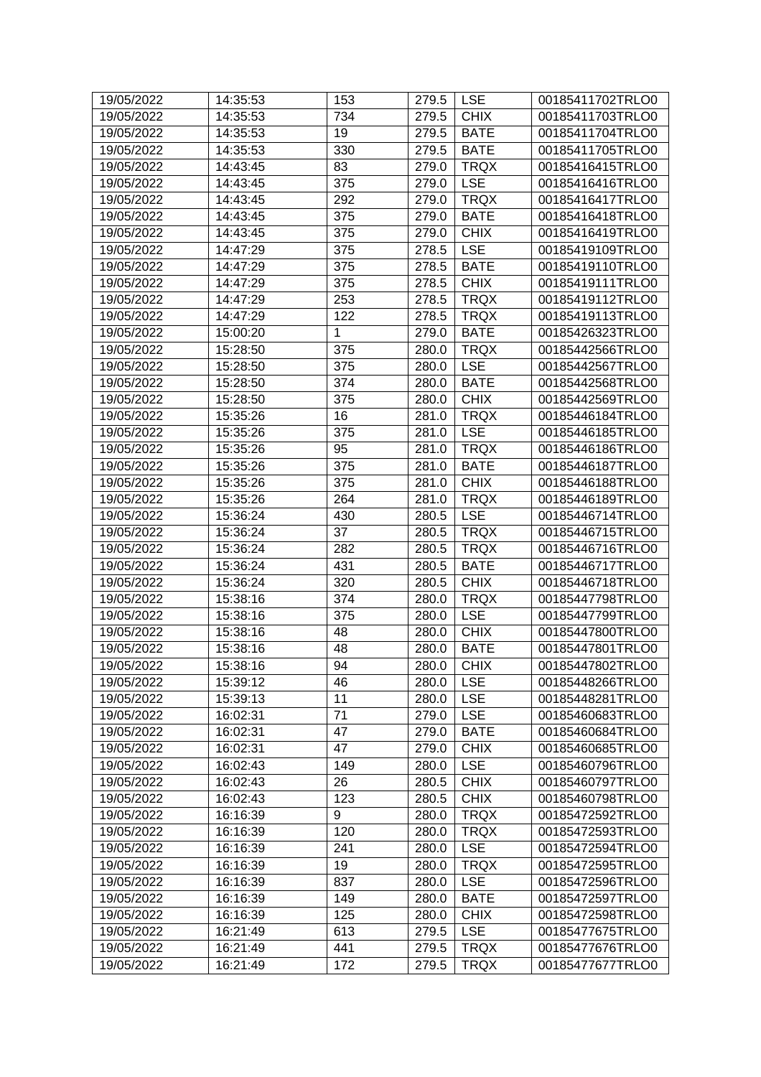| 19/05/2022 | 14:35:53 | 153 | 279.5 | <b>LSE</b>  | 00185411702TRLO0 |
|------------|----------|-----|-------|-------------|------------------|
| 19/05/2022 | 14:35:53 | 734 | 279.5 | <b>CHIX</b> | 00185411703TRLO0 |
| 19/05/2022 | 14:35:53 | 19  | 279.5 | <b>BATE</b> | 00185411704TRLO0 |
| 19/05/2022 | 14:35:53 | 330 | 279.5 | <b>BATE</b> | 00185411705TRLO0 |
| 19/05/2022 | 14:43:45 | 83  | 279.0 | <b>TRQX</b> | 00185416415TRLO0 |
| 19/05/2022 | 14:43:45 | 375 | 279.0 | <b>LSE</b>  | 00185416416TRLO0 |
| 19/05/2022 | 14:43:45 | 292 | 279.0 | <b>TRQX</b> | 00185416417TRLO0 |
| 19/05/2022 | 14:43:45 | 375 | 279.0 | <b>BATE</b> | 00185416418TRLO0 |
| 19/05/2022 | 14:43:45 | 375 | 279.0 | <b>CHIX</b> | 00185416419TRLO0 |
| 19/05/2022 | 14:47:29 | 375 | 278.5 | <b>LSE</b>  | 00185419109TRLO0 |
| 19/05/2022 | 14:47:29 | 375 | 278.5 | <b>BATE</b> | 00185419110TRLO0 |
| 19/05/2022 | 14:47:29 | 375 | 278.5 | <b>CHIX</b> | 00185419111TRLO0 |
| 19/05/2022 | 14:47:29 | 253 | 278.5 | <b>TRQX</b> | 00185419112TRLO0 |
| 19/05/2022 | 14:47:29 | 122 | 278.5 | <b>TRQX</b> | 00185419113TRLO0 |
| 19/05/2022 | 15:00:20 | 1   | 279.0 | <b>BATE</b> | 00185426323TRLO0 |
| 19/05/2022 | 15:28:50 | 375 | 280.0 | <b>TRQX</b> | 00185442566TRLO0 |
| 19/05/2022 | 15:28:50 | 375 | 280.0 | <b>LSE</b>  | 00185442567TRLO0 |
| 19/05/2022 | 15:28:50 | 374 | 280.0 | <b>BATE</b> | 00185442568TRLO0 |
| 19/05/2022 | 15:28:50 | 375 | 280.0 | <b>CHIX</b> | 00185442569TRLO0 |
| 19/05/2022 | 15:35:26 | 16  | 281.0 | <b>TRQX</b> | 00185446184TRLO0 |
| 19/05/2022 | 15:35:26 | 375 | 281.0 | <b>LSE</b>  | 00185446185TRLO0 |
| 19/05/2022 | 15:35:26 | 95  | 281.0 | <b>TRQX</b> | 00185446186TRLO0 |
| 19/05/2022 | 15:35:26 | 375 | 281.0 | <b>BATE</b> | 00185446187TRLO0 |
| 19/05/2022 | 15:35:26 | 375 | 281.0 | <b>CHIX</b> | 00185446188TRLO0 |
| 19/05/2022 | 15:35:26 | 264 | 281.0 | <b>TRQX</b> | 00185446189TRLO0 |
| 19/05/2022 | 15:36:24 | 430 | 280.5 | <b>LSE</b>  | 00185446714TRLO0 |
| 19/05/2022 | 15:36:24 | 37  | 280.5 | <b>TRQX</b> | 00185446715TRLO0 |
| 19/05/2022 | 15:36:24 | 282 | 280.5 | <b>TRQX</b> | 00185446716TRLO0 |
| 19/05/2022 | 15:36:24 | 431 | 280.5 | <b>BATE</b> | 00185446717TRLO0 |
| 19/05/2022 | 15:36:24 | 320 | 280.5 | <b>CHIX</b> | 00185446718TRLO0 |
| 19/05/2022 | 15:38:16 | 374 | 280.0 | <b>TRQX</b> | 00185447798TRLO0 |
| 19/05/2022 | 15:38:16 | 375 | 280.0 | <b>LSE</b>  | 00185447799TRLO0 |
| 19/05/2022 | 15:38:16 | 48  | 280.0 | <b>CHIX</b> | 00185447800TRLO0 |
| 19/05/2022 | 15:38:16 | 48  | 280.0 | <b>BATE</b> | 00185447801TRLO0 |
| 19/05/2022 | 15:38:16 | 94  | 280.0 | $ $ CHIX    | 00185447802TRLO0 |
| 19/05/2022 | 15:39:12 | 46  | 280.0 | <b>LSE</b>  | 00185448266TRLO0 |
| 19/05/2022 | 15:39:13 | 11  | 280.0 | <b>LSE</b>  | 00185448281TRLO0 |
| 19/05/2022 | 16:02:31 | 71  | 279.0 | <b>LSE</b>  | 00185460683TRLO0 |
| 19/05/2022 | 16:02:31 | 47  | 279.0 | <b>BATE</b> | 00185460684TRLO0 |
| 19/05/2022 | 16:02:31 | 47  | 279.0 | <b>CHIX</b> | 00185460685TRLO0 |
| 19/05/2022 | 16:02:43 | 149 | 280.0 | <b>LSE</b>  | 00185460796TRLO0 |
| 19/05/2022 | 16:02:43 | 26  | 280.5 | <b>CHIX</b> | 00185460797TRLO0 |
| 19/05/2022 | 16:02:43 | 123 | 280.5 | <b>CHIX</b> | 00185460798TRLO0 |
| 19/05/2022 | 16:16:39 | 9   | 280.0 | <b>TRQX</b> | 00185472592TRLO0 |
| 19/05/2022 | 16:16:39 | 120 | 280.0 | <b>TRQX</b> | 00185472593TRLO0 |
| 19/05/2022 | 16:16:39 | 241 | 280.0 | <b>LSE</b>  | 00185472594TRLO0 |
| 19/05/2022 | 16:16:39 | 19  | 280.0 | <b>TRQX</b> | 00185472595TRLO0 |
| 19/05/2022 | 16:16:39 | 837 | 280.0 | <b>LSE</b>  | 00185472596TRLO0 |
| 19/05/2022 | 16:16:39 | 149 | 280.0 | <b>BATE</b> | 00185472597TRLO0 |
| 19/05/2022 | 16:16:39 | 125 | 280.0 | <b>CHIX</b> | 00185472598TRLO0 |
| 19/05/2022 | 16:21:49 | 613 | 279.5 | <b>LSE</b>  | 00185477675TRLO0 |
| 19/05/2022 | 16:21:49 | 441 | 279.5 | <b>TRQX</b> | 00185477676TRLO0 |
| 19/05/2022 | 16:21:49 | 172 | 279.5 | <b>TRQX</b> | 00185477677TRLO0 |